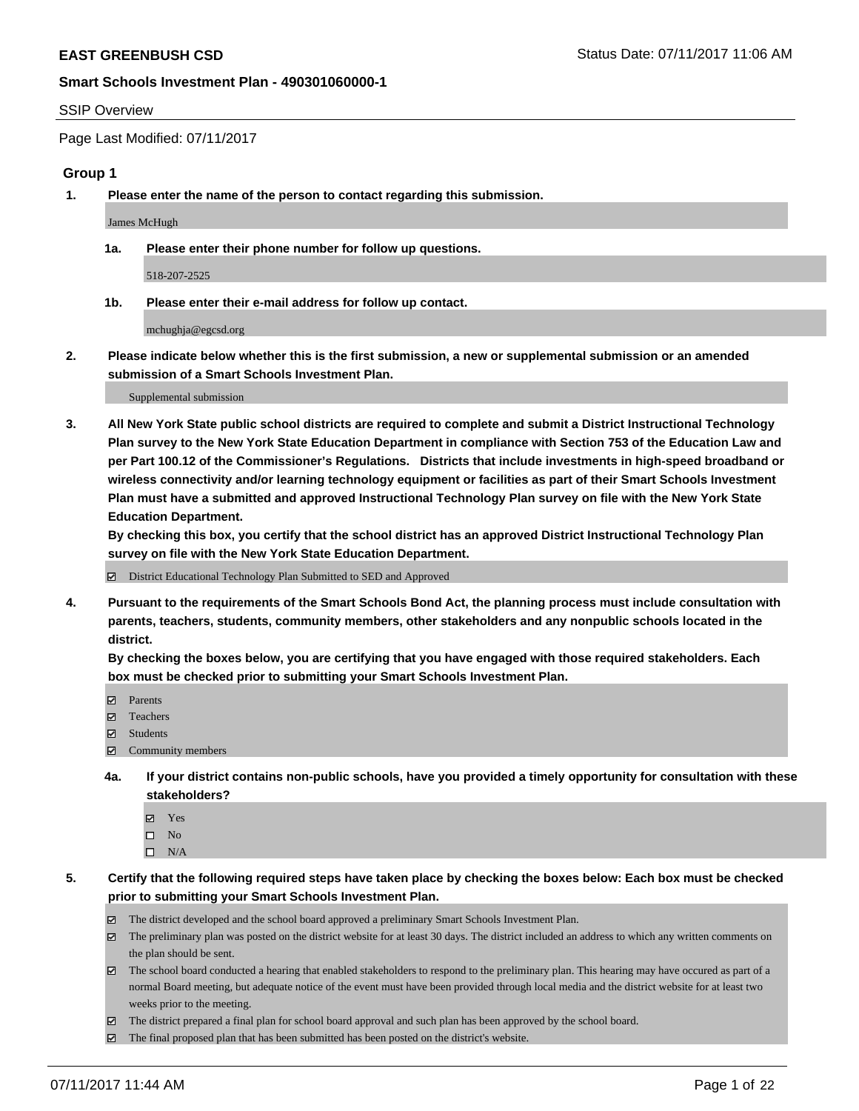#### SSIP Overview

Page Last Modified: 07/11/2017

#### **Group 1**

**1. Please enter the name of the person to contact regarding this submission.**

James McHugh

**1a. Please enter their phone number for follow up questions.**

518-207-2525

**1b. Please enter their e-mail address for follow up contact.**

mchughja@egcsd.org

**2. Please indicate below whether this is the first submission, a new or supplemental submission or an amended submission of a Smart Schools Investment Plan.**

Supplemental submission

**3. All New York State public school districts are required to complete and submit a District Instructional Technology Plan survey to the New York State Education Department in compliance with Section 753 of the Education Law and per Part 100.12 of the Commissioner's Regulations. Districts that include investments in high-speed broadband or wireless connectivity and/or learning technology equipment or facilities as part of their Smart Schools Investment Plan must have a submitted and approved Instructional Technology Plan survey on file with the New York State Education Department.** 

**By checking this box, you certify that the school district has an approved District Instructional Technology Plan survey on file with the New York State Education Department.**

District Educational Technology Plan Submitted to SED and Approved

**4. Pursuant to the requirements of the Smart Schools Bond Act, the planning process must include consultation with parents, teachers, students, community members, other stakeholders and any nonpublic schools located in the district.** 

**By checking the boxes below, you are certifying that you have engaged with those required stakeholders. Each box must be checked prior to submitting your Smart Schools Investment Plan.**

- **マ** Parents
- □ Teachers
- Students
- $\Xi$  Community members
- **4a. If your district contains non-public schools, have you provided a timely opportunity for consultation with these stakeholders?**
	- Yes
	- $\hfill \square$  No
	- $\square$  N/A
- **5. Certify that the following required steps have taken place by checking the boxes below: Each box must be checked prior to submitting your Smart Schools Investment Plan.**
	- The district developed and the school board approved a preliminary Smart Schools Investment Plan.
	- $\boxtimes$  The preliminary plan was posted on the district website for at least 30 days. The district included an address to which any written comments on the plan should be sent.
	- $\boxtimes$  The school board conducted a hearing that enabled stakeholders to respond to the preliminary plan. This hearing may have occured as part of a normal Board meeting, but adequate notice of the event must have been provided through local media and the district website for at least two weeks prior to the meeting.
	- The district prepared a final plan for school board approval and such plan has been approved by the school board.
	- $\boxtimes$  The final proposed plan that has been submitted has been posted on the district's website.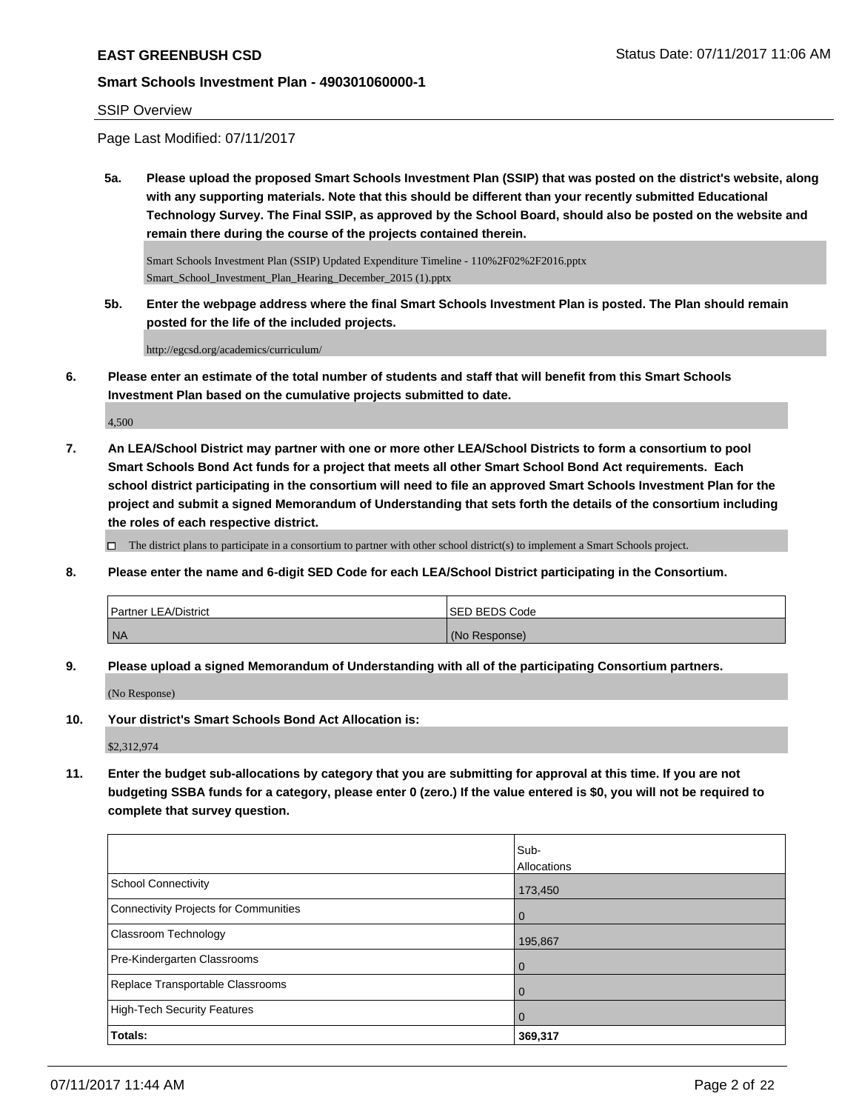#### SSIP Overview

Page Last Modified: 07/11/2017

**5a. Please upload the proposed Smart Schools Investment Plan (SSIP) that was posted on the district's website, along with any supporting materials. Note that this should be different than your recently submitted Educational Technology Survey. The Final SSIP, as approved by the School Board, should also be posted on the website and remain there during the course of the projects contained therein.**

Smart Schools Investment Plan (SSIP) Updated Expenditure Timeline - 110%2F02%2F2016.pptx Smart\_School\_Investment\_Plan\_Hearing\_December\_2015 (1).pptx

**5b. Enter the webpage address where the final Smart Schools Investment Plan is posted. The Plan should remain posted for the life of the included projects.**

http://egcsd.org/academics/curriculum/

**6. Please enter an estimate of the total number of students and staff that will benefit from this Smart Schools Investment Plan based on the cumulative projects submitted to date.**

4,500

**7. An LEA/School District may partner with one or more other LEA/School Districts to form a consortium to pool Smart Schools Bond Act funds for a project that meets all other Smart School Bond Act requirements. Each school district participating in the consortium will need to file an approved Smart Schools Investment Plan for the project and submit a signed Memorandum of Understanding that sets forth the details of the consortium including the roles of each respective district.**

 $\Box$  The district plans to participate in a consortium to partner with other school district(s) to implement a Smart Schools project.

**8. Please enter the name and 6-digit SED Code for each LEA/School District participating in the Consortium.**

| <b>Partner LEA/District</b> | <b>SED BEDS Code</b> |
|-----------------------------|----------------------|
| NA                          | (No Response)        |

**9. Please upload a signed Memorandum of Understanding with all of the participating Consortium partners.**

(No Response)

**10. Your district's Smart Schools Bond Act Allocation is:**

\$2,312,974

**11. Enter the budget sub-allocations by category that you are submitting for approval at this time. If you are not budgeting SSBA funds for a category, please enter 0 (zero.) If the value entered is \$0, you will not be required to complete that survey question.**

|                                       | Sub-           |
|---------------------------------------|----------------|
|                                       | Allocations    |
| School Connectivity                   | 173,450        |
| Connectivity Projects for Communities | l O            |
| <b>Classroom Technology</b>           | 195,867        |
| Pre-Kindergarten Classrooms           | $\overline{0}$ |
| Replace Transportable Classrooms      | $\Omega$       |
| High-Tech Security Features           | $\overline{0}$ |
| Totals:                               | 369,317        |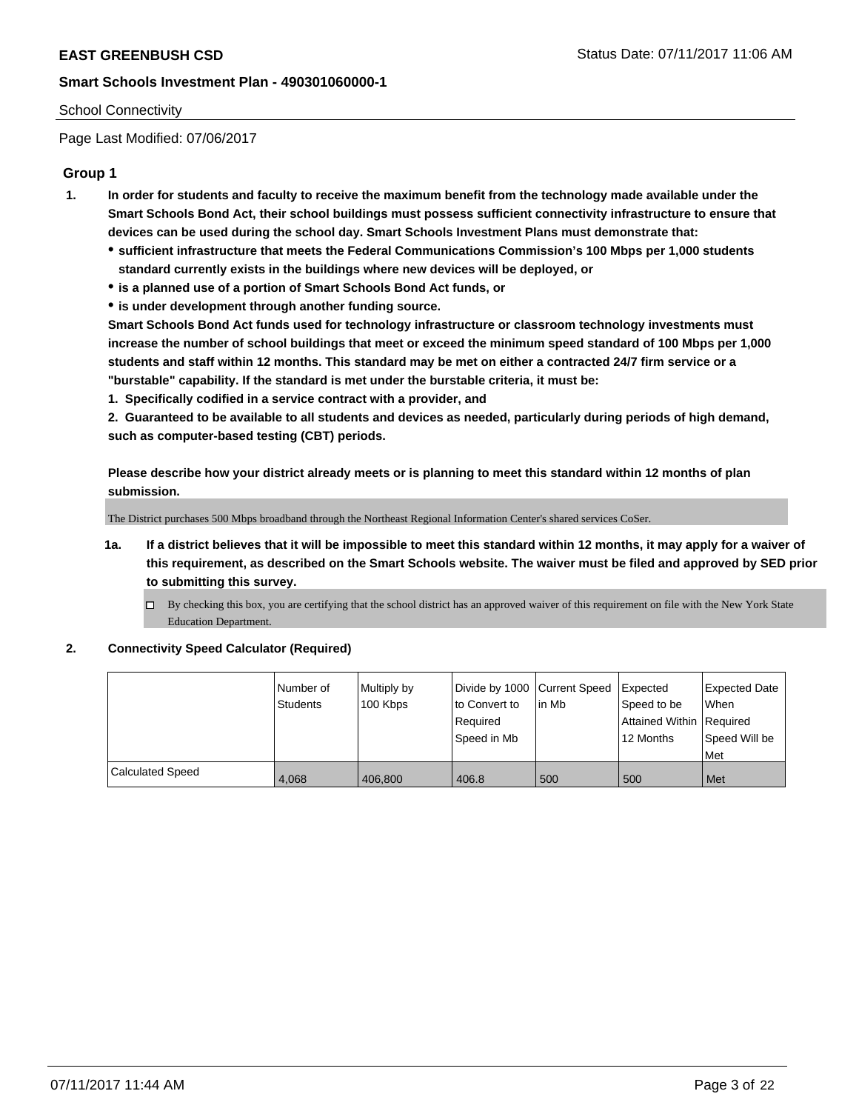#### School Connectivity

Page Last Modified: 07/06/2017

### **Group 1**

- **1. In order for students and faculty to receive the maximum benefit from the technology made available under the Smart Schools Bond Act, their school buildings must possess sufficient connectivity infrastructure to ensure that devices can be used during the school day. Smart Schools Investment Plans must demonstrate that:**
	- **sufficient infrastructure that meets the Federal Communications Commission's 100 Mbps per 1,000 students standard currently exists in the buildings where new devices will be deployed, or**
	- **is a planned use of a portion of Smart Schools Bond Act funds, or**
	- **is under development through another funding source.**

**Smart Schools Bond Act funds used for technology infrastructure or classroom technology investments must increase the number of school buildings that meet or exceed the minimum speed standard of 100 Mbps per 1,000 students and staff within 12 months. This standard may be met on either a contracted 24/7 firm service or a "burstable" capability. If the standard is met under the burstable criteria, it must be:**

**1. Specifically codified in a service contract with a provider, and**

**2. Guaranteed to be available to all students and devices as needed, particularly during periods of high demand, such as computer-based testing (CBT) periods.**

**Please describe how your district already meets or is planning to meet this standard within 12 months of plan submission.**

The District purchases 500 Mbps broadband through the Northeast Regional Information Center's shared services CoSer.

- **1a. If a district believes that it will be impossible to meet this standard within 12 months, it may apply for a waiver of this requirement, as described on the Smart Schools website. The waiver must be filed and approved by SED prior to submitting this survey.**
	- By checking this box, you are certifying that the school district has an approved waiver of this requirement on file with the New York State Education Department.
- **2. Connectivity Speed Calculator (Required)**

|                  | l Number of<br><b>Students</b> | Multiply by<br>100 Kbps | Divide by 1000 Current Speed<br>to Convert to<br>Required<br>Speed in Mb | lin Mb | Expected<br>Speed to be<br>Attained Within   Required<br>12 Months | <b>Expected Date</b><br><b>When</b><br>Speed Will be<br>l Met |
|------------------|--------------------------------|-------------------------|--------------------------------------------------------------------------|--------|--------------------------------------------------------------------|---------------------------------------------------------------|
| Calculated Speed | 4.068                          | 406.800                 | 406.8                                                                    | 500    | 500                                                                | l Met                                                         |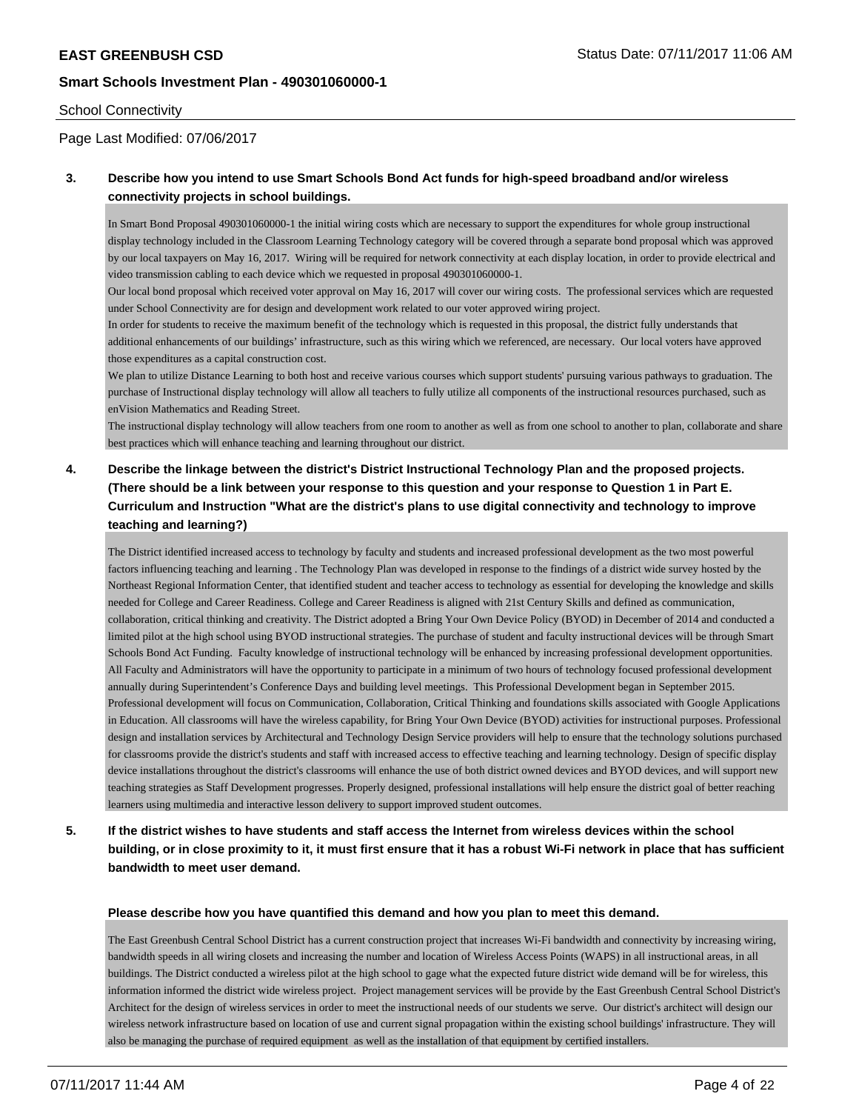### School Connectivity

Page Last Modified: 07/06/2017

## **3. Describe how you intend to use Smart Schools Bond Act funds for high-speed broadband and/or wireless connectivity projects in school buildings.**

In Smart Bond Proposal 490301060000-1 the initial wiring costs which are necessary to support the expenditures for whole group instructional display technology included in the Classroom Learning Technology category will be covered through a separate bond proposal which was approved by our local taxpayers on May 16, 2017. Wiring will be required for network connectivity at each display location, in order to provide electrical and video transmission cabling to each device which we requested in proposal 490301060000-1.

Our local bond proposal which received voter approval on May 16, 2017 will cover our wiring costs. The professional services which are requested under School Connectivity are for design and development work related to our voter approved wiring project.

In order for students to receive the maximum benefit of the technology which is requested in this proposal, the district fully understands that additional enhancements of our buildings' infrastructure, such as this wiring which we referenced, are necessary. Our local voters have approved those expenditures as a capital construction cost.

We plan to utilize Distance Learning to both host and receive various courses which support students' pursuing various pathways to graduation. The purchase of Instructional display technology will allow all teachers to fully utilize all components of the instructional resources purchased, such as enVision Mathematics and Reading Street.

The instructional display technology will allow teachers from one room to another as well as from one school to another to plan, collaborate and share best practices which will enhance teaching and learning throughout our district.

# **4. Describe the linkage between the district's District Instructional Technology Plan and the proposed projects. (There should be a link between your response to this question and your response to Question 1 in Part E. Curriculum and Instruction "What are the district's plans to use digital connectivity and technology to improve teaching and learning?)**

The District identified increased access to technology by faculty and students and increased professional development as the two most powerful factors influencing teaching and learning . The Technology Plan was developed in response to the findings of a district wide survey hosted by the Northeast Regional Information Center, that identified student and teacher access to technology as essential for developing the knowledge and skills needed for College and Career Readiness. College and Career Readiness is aligned with 21st Century Skills and defined as communication, collaboration, critical thinking and creativity. The District adopted a Bring Your Own Device Policy (BYOD) in December of 2014 and conducted a limited pilot at the high school using BYOD instructional strategies. The purchase of student and faculty instructional devices will be through Smart Schools Bond Act Funding. Faculty knowledge of instructional technology will be enhanced by increasing professional development opportunities. All Faculty and Administrators will have the opportunity to participate in a minimum of two hours of technology focused professional development annually during Superintendent's Conference Days and building level meetings. This Professional Development began in September 2015. Professional development will focus on Communication, Collaboration, Critical Thinking and foundations skills associated with Google Applications in Education. All classrooms will have the wireless capability, for Bring Your Own Device (BYOD) activities for instructional purposes. Professional design and installation services by Architectural and Technology Design Service providers will help to ensure that the technology solutions purchased for classrooms provide the district's students and staff with increased access to effective teaching and learning technology. Design of specific display device installations throughout the district's classrooms will enhance the use of both district owned devices and BYOD devices, and will support new teaching strategies as Staff Development progresses. Properly designed, professional installations will help ensure the district goal of better reaching learners using multimedia and interactive lesson delivery to support improved student outcomes.

**5. If the district wishes to have students and staff access the Internet from wireless devices within the school building, or in close proximity to it, it must first ensure that it has a robust Wi-Fi network in place that has sufficient bandwidth to meet user demand.**

#### **Please describe how you have quantified this demand and how you plan to meet this demand.**

The East Greenbush Central School District has a current construction project that increases Wi-Fi bandwidth and connectivity by increasing wiring, bandwidth speeds in all wiring closets and increasing the number and location of Wireless Access Points (WAPS) in all instructional areas, in all buildings. The District conducted a wireless pilot at the high school to gage what the expected future district wide demand will be for wireless, this information informed the district wide wireless project. Project management services will be provide by the East Greenbush Central School District's Architect for the design of wireless services in order to meet the instructional needs of our students we serve. Our district's architect will design our wireless network infrastructure based on location of use and current signal propagation within the existing school buildings' infrastructure. They will also be managing the purchase of required equipment as well as the installation of that equipment by certified installers.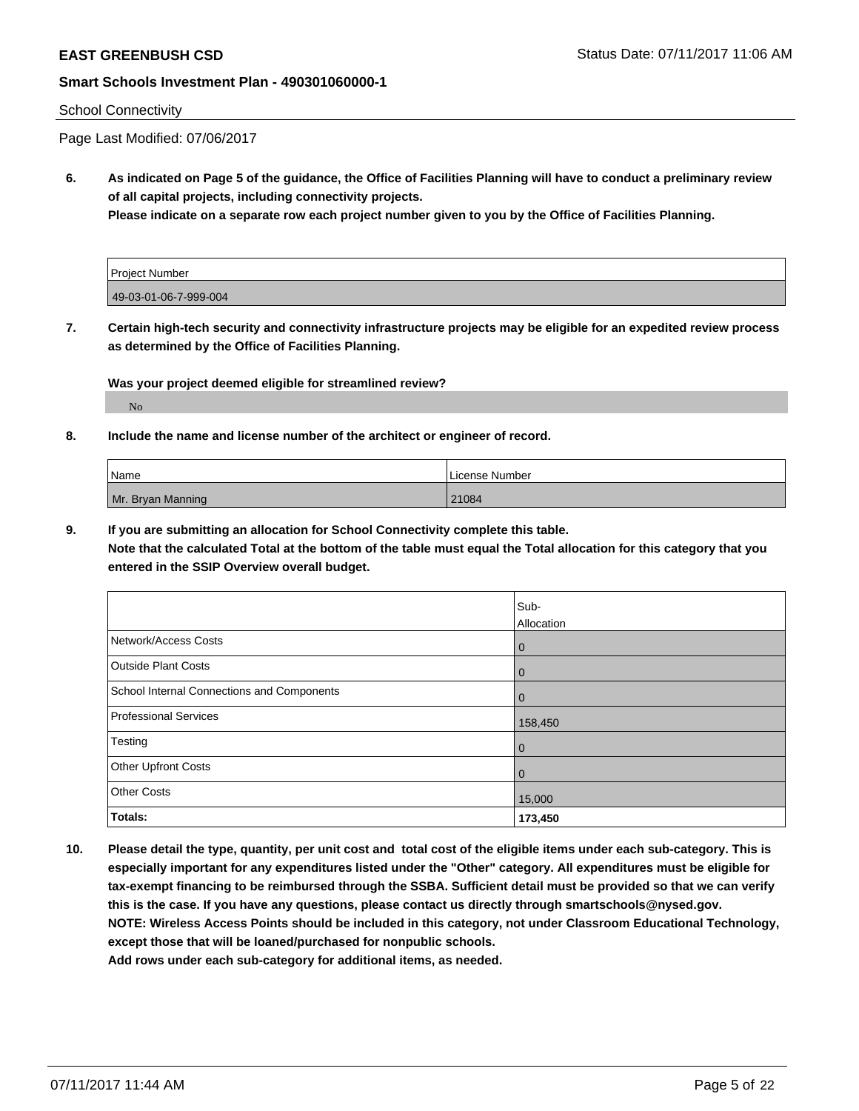#### School Connectivity

Page Last Modified: 07/06/2017

**6. As indicated on Page 5 of the guidance, the Office of Facilities Planning will have to conduct a preliminary review of all capital projects, including connectivity projects.**

**Please indicate on a separate row each project number given to you by the Office of Facilities Planning.**

| Project Number        |  |
|-----------------------|--|
| 49-03-01-06-7-999-004 |  |

**7. Certain high-tech security and connectivity infrastructure projects may be eligible for an expedited review process as determined by the Office of Facilities Planning.**

#### **Was your project deemed eligible for streamlined review?**

No

#### **8. Include the name and license number of the architect or engineer of record.**

| Name              | License Number |
|-------------------|----------------|
| Mr. Bryan Manning | 21084          |

**9. If you are submitting an allocation for School Connectivity complete this table.**

**Note that the calculated Total at the bottom of the table must equal the Total allocation for this category that you entered in the SSIP Overview overall budget.** 

|                                            | Sub-           |
|--------------------------------------------|----------------|
|                                            | Allocation     |
| Network/Access Costs                       | $\mathbf 0$    |
| <b>Outside Plant Costs</b>                 | $\mathbf{0}$   |
| School Internal Connections and Components | $\overline{0}$ |
| Professional Services                      | 158,450        |
| Testing                                    | $\overline{0}$ |
| <b>Other Upfront Costs</b>                 | $\overline{0}$ |
| <b>Other Costs</b>                         | 15,000         |
| Totals:                                    | 173,450        |

**10. Please detail the type, quantity, per unit cost and total cost of the eligible items under each sub-category. This is especially important for any expenditures listed under the "Other" category. All expenditures must be eligible for tax-exempt financing to be reimbursed through the SSBA. Sufficient detail must be provided so that we can verify this is the case. If you have any questions, please contact us directly through smartschools@nysed.gov. NOTE: Wireless Access Points should be included in this category, not under Classroom Educational Technology, except those that will be loaned/purchased for nonpublic schools.**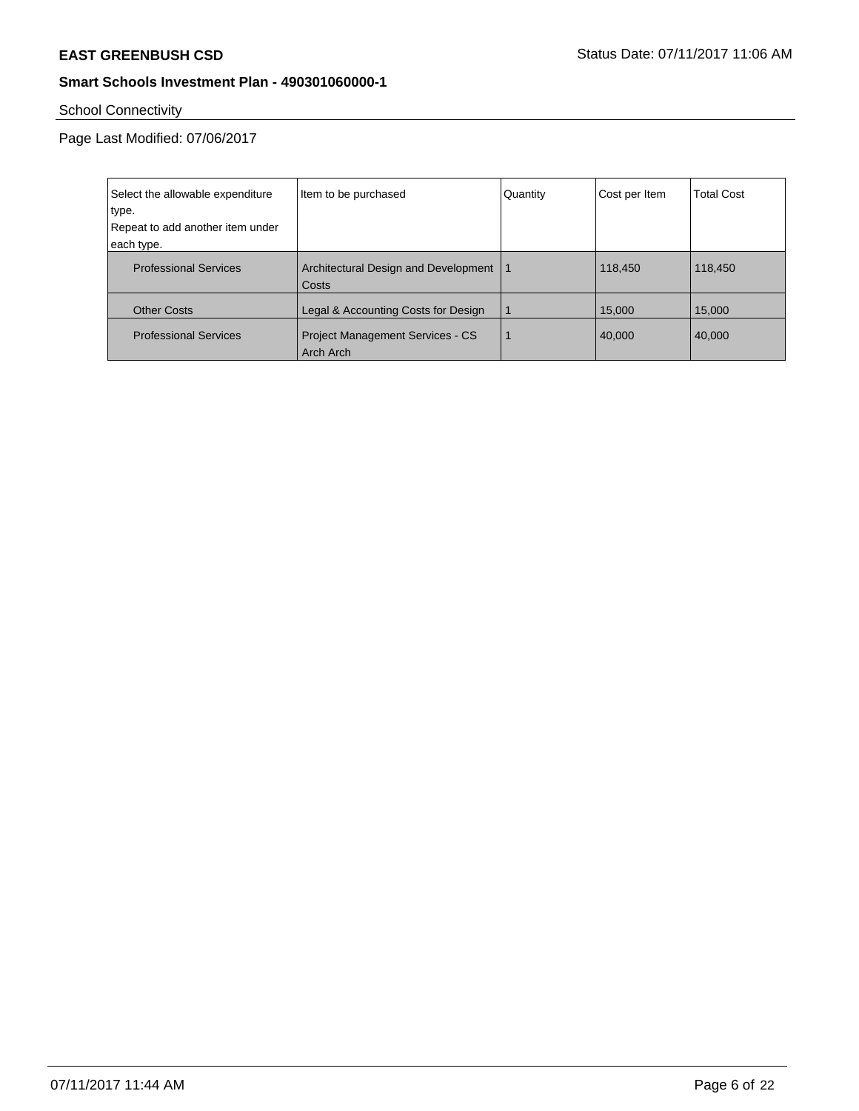# School Connectivity

Page Last Modified: 07/06/2017

| Select the allowable expenditure<br>type.<br>Repeat to add another item under<br>each type. | Item to be purchased                            | Quantity | Cost per Item | <b>Total Cost</b> |
|---------------------------------------------------------------------------------------------|-------------------------------------------------|----------|---------------|-------------------|
| <b>Professional Services</b>                                                                | Architectural Design and Development  <br>Costs | l 1      | 118,450       | 118,450           |
| <b>Other Costs</b>                                                                          | Legal & Accounting Costs for Design             |          | 15,000        | 15,000            |
| <b>Professional Services</b>                                                                | Project Management Services - CS<br>Arch Arch   | 1        | 40,000        | 40,000            |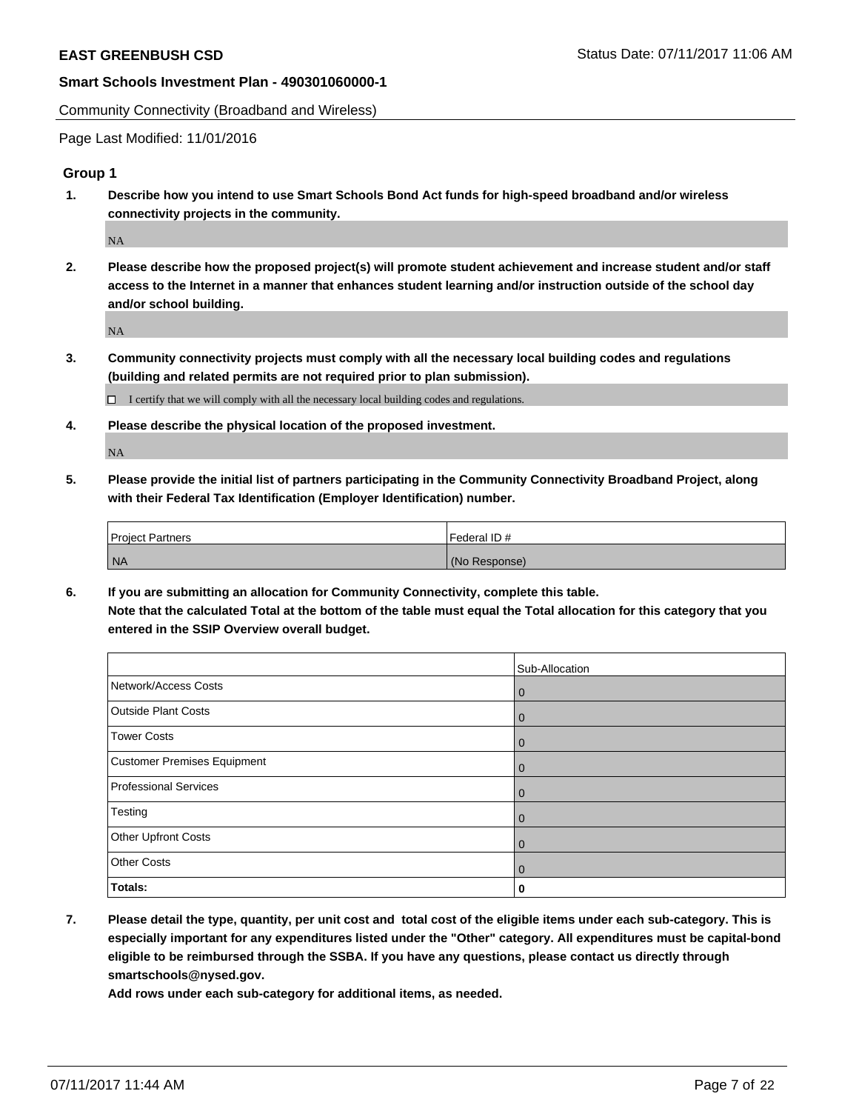Community Connectivity (Broadband and Wireless)

Page Last Modified: 11/01/2016

#### **Group 1**

**1. Describe how you intend to use Smart Schools Bond Act funds for high-speed broadband and/or wireless connectivity projects in the community.**

NA

**2. Please describe how the proposed project(s) will promote student achievement and increase student and/or staff access to the Internet in a manner that enhances student learning and/or instruction outside of the school day and/or school building.**

NA

**3. Community connectivity projects must comply with all the necessary local building codes and regulations (building and related permits are not required prior to plan submission).**

 $\Box$  I certify that we will comply with all the necessary local building codes and regulations.

**4. Please describe the physical location of the proposed investment.**

NA

**5. Please provide the initial list of partners participating in the Community Connectivity Broadband Project, along with their Federal Tax Identification (Employer Identification) number.**

| <b>Project Partners</b> | Federal ID #  |
|-------------------------|---------------|
| <b>NA</b>               | (No Response) |

**6. If you are submitting an allocation for Community Connectivity, complete this table. Note that the calculated Total at the bottom of the table must equal the Total allocation for this category that you entered in the SSIP Overview overall budget.**

|                              | Sub-Allocation |
|------------------------------|----------------|
| Network/Access Costs         | $\mathbf{0}$   |
| <b>Outside Plant Costs</b>   | $\mathbf 0$    |
| <b>Tower Costs</b>           | $\mathbf{0}$   |
| Customer Premises Equipment  | $\Omega$       |
| <b>Professional Services</b> | $\overline{0}$ |
| Testing                      | $\mathbf{0}$   |
| Other Upfront Costs          | $\overline{0}$ |
| <b>Other Costs</b>           | $\mathbf 0$    |
| Totals:                      | 0              |

**7. Please detail the type, quantity, per unit cost and total cost of the eligible items under each sub-category. This is especially important for any expenditures listed under the "Other" category. All expenditures must be capital-bond eligible to be reimbursed through the SSBA. If you have any questions, please contact us directly through smartschools@nysed.gov.**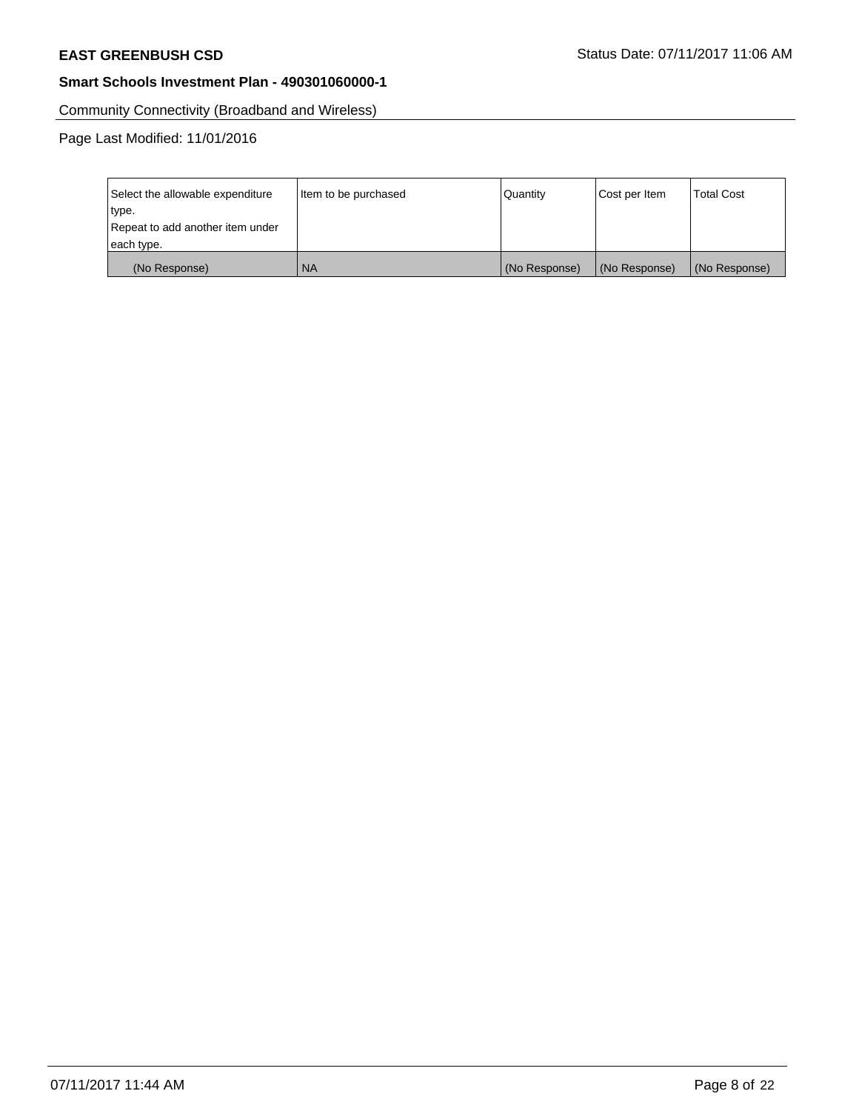Community Connectivity (Broadband and Wireless)

Page Last Modified: 11/01/2016

| Select the allowable expenditure<br>type.<br>Repeat to add another item under | Item to be purchased | <b>Quantity</b> | Cost per Item | <b>Total Cost</b> |
|-------------------------------------------------------------------------------|----------------------|-----------------|---------------|-------------------|
| each type.                                                                    |                      |                 |               |                   |
| (No Response)                                                                 | <b>NA</b>            | (No Response)   | (No Response) | (No Response)     |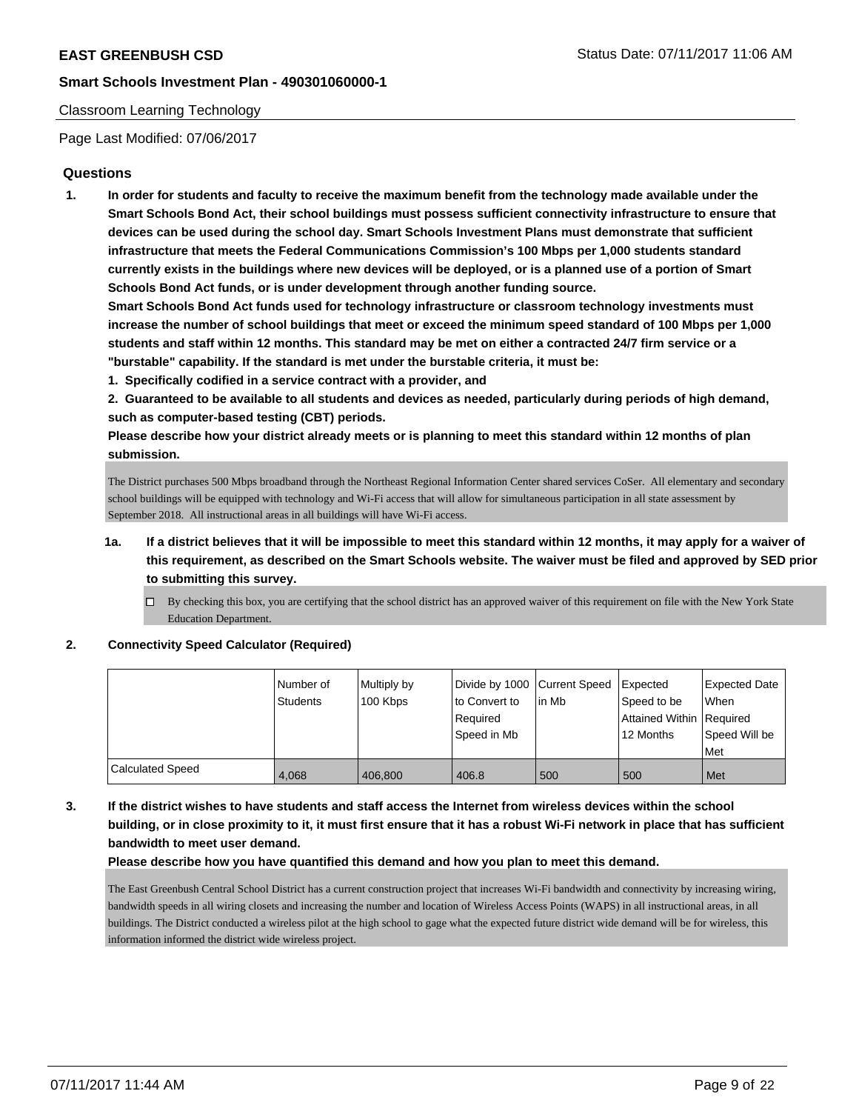### Classroom Learning Technology

Page Last Modified: 07/06/2017

## **Questions**

**1. In order for students and faculty to receive the maximum benefit from the technology made available under the Smart Schools Bond Act, their school buildings must possess sufficient connectivity infrastructure to ensure that devices can be used during the school day. Smart Schools Investment Plans must demonstrate that sufficient infrastructure that meets the Federal Communications Commission's 100 Mbps per 1,000 students standard currently exists in the buildings where new devices will be deployed, or is a planned use of a portion of Smart Schools Bond Act funds, or is under development through another funding source.**

**Smart Schools Bond Act funds used for technology infrastructure or classroom technology investments must increase the number of school buildings that meet or exceed the minimum speed standard of 100 Mbps per 1,000 students and staff within 12 months. This standard may be met on either a contracted 24/7 firm service or a "burstable" capability. If the standard is met under the burstable criteria, it must be:**

- **1. Specifically codified in a service contract with a provider, and**
- **2. Guaranteed to be available to all students and devices as needed, particularly during periods of high demand, such as computer-based testing (CBT) periods.**

**Please describe how your district already meets or is planning to meet this standard within 12 months of plan submission.**

The District purchases 500 Mbps broadband through the Northeast Regional Information Center shared services CoSer. All elementary and secondary school buildings will be equipped with technology and Wi-Fi access that will allow for simultaneous participation in all state assessment by September 2018. All instructional areas in all buildings will have Wi-Fi access.

- **1a. If a district believes that it will be impossible to meet this standard within 12 months, it may apply for a waiver of this requirement, as described on the Smart Schools website. The waiver must be filed and approved by SED prior to submitting this survey.**
	- $\Box$  By checking this box, you are certifying that the school district has an approved waiver of this requirement on file with the New York State Education Department.

**2. Connectivity Speed Calculator (Required)**

|                         | Number of<br><b>Students</b> | Multiply by<br>100 Kbps | Divide by 1000 Current Speed<br>to Convert to<br>Required<br>Speed in Mb | in Mb | <b>I</b> Expected<br>Speed to be<br>Attained Within   Required<br>12 Months | <b>Expected Date</b><br><b>When</b><br>Speed Will be<br>Met |
|-------------------------|------------------------------|-------------------------|--------------------------------------------------------------------------|-------|-----------------------------------------------------------------------------|-------------------------------------------------------------|
| <b>Calculated Speed</b> | 4.068                        | 406,800                 | 406.8                                                                    | 500   | 500                                                                         | Met                                                         |

**3. If the district wishes to have students and staff access the Internet from wireless devices within the school building, or in close proximity to it, it must first ensure that it has a robust Wi-Fi network in place that has sufficient bandwidth to meet user demand.**

**Please describe how you have quantified this demand and how you plan to meet this demand.**

The East Greenbush Central School District has a current construction project that increases Wi-Fi bandwidth and connectivity by increasing wiring, bandwidth speeds in all wiring closets and increasing the number and location of Wireless Access Points (WAPS) in all instructional areas, in all buildings. The District conducted a wireless pilot at the high school to gage what the expected future district wide demand will be for wireless, this information informed the district wide wireless project.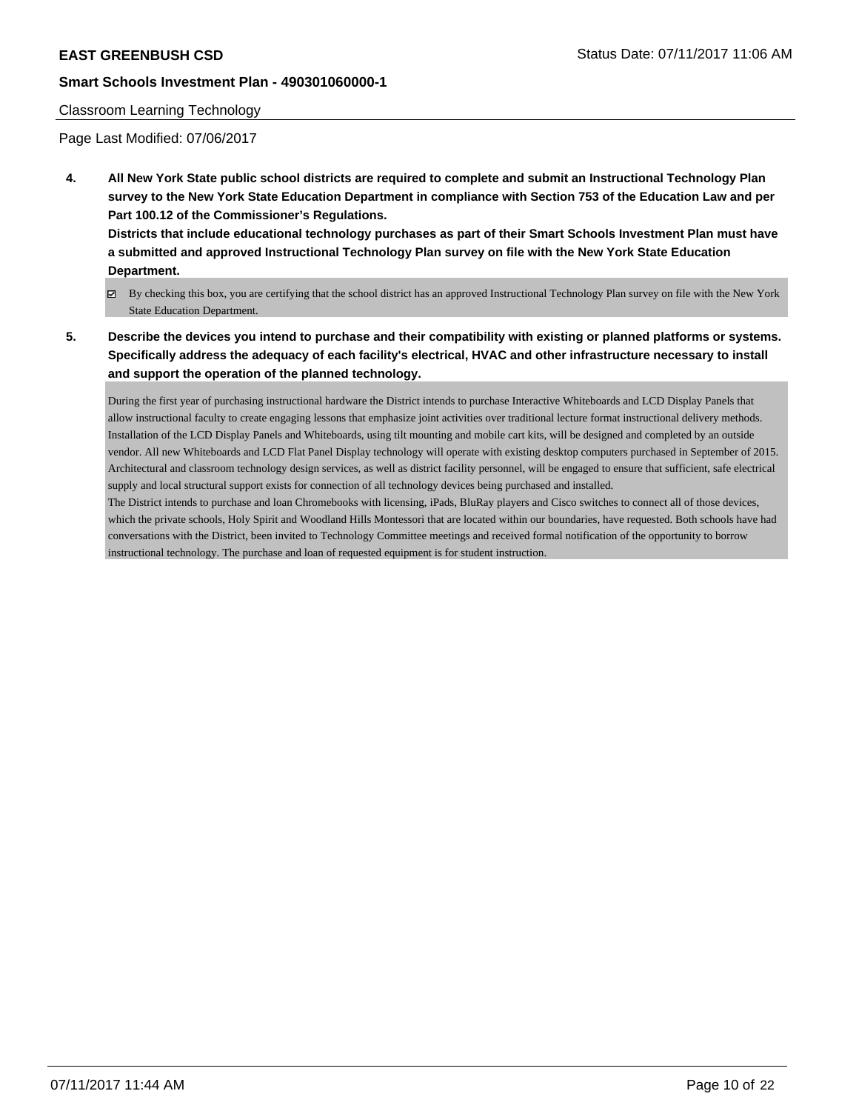### Classroom Learning Technology

Page Last Modified: 07/06/2017

**4. All New York State public school districts are required to complete and submit an Instructional Technology Plan survey to the New York State Education Department in compliance with Section 753 of the Education Law and per Part 100.12 of the Commissioner's Regulations.**

**Districts that include educational technology purchases as part of their Smart Schools Investment Plan must have a submitted and approved Instructional Technology Plan survey on file with the New York State Education Department.**

- By checking this box, you are certifying that the school district has an approved Instructional Technology Plan survey on file with the New York State Education Department.
- **5. Describe the devices you intend to purchase and their compatibility with existing or planned platforms or systems. Specifically address the adequacy of each facility's electrical, HVAC and other infrastructure necessary to install and support the operation of the planned technology.**

During the first year of purchasing instructional hardware the District intends to purchase Interactive Whiteboards and LCD Display Panels that allow instructional faculty to create engaging lessons that emphasize joint activities over traditional lecture format instructional delivery methods. Installation of the LCD Display Panels and Whiteboards, using tilt mounting and mobile cart kits, will be designed and completed by an outside vendor. All new Whiteboards and LCD Flat Panel Display technology will operate with existing desktop computers purchased in September of 2015. Architectural and classroom technology design services, as well as district facility personnel, will be engaged to ensure that sufficient, safe electrical supply and local structural support exists for connection of all technology devices being purchased and installed.

The District intends to purchase and loan Chromebooks with licensing, iPads, BluRay players and Cisco switches to connect all of those devices, which the private schools, Holy Spirit and Woodland Hills Montessori that are located within our boundaries, have requested. Both schools have had conversations with the District, been invited to Technology Committee meetings and received formal notification of the opportunity to borrow instructional technology. The purchase and loan of requested equipment is for student instruction.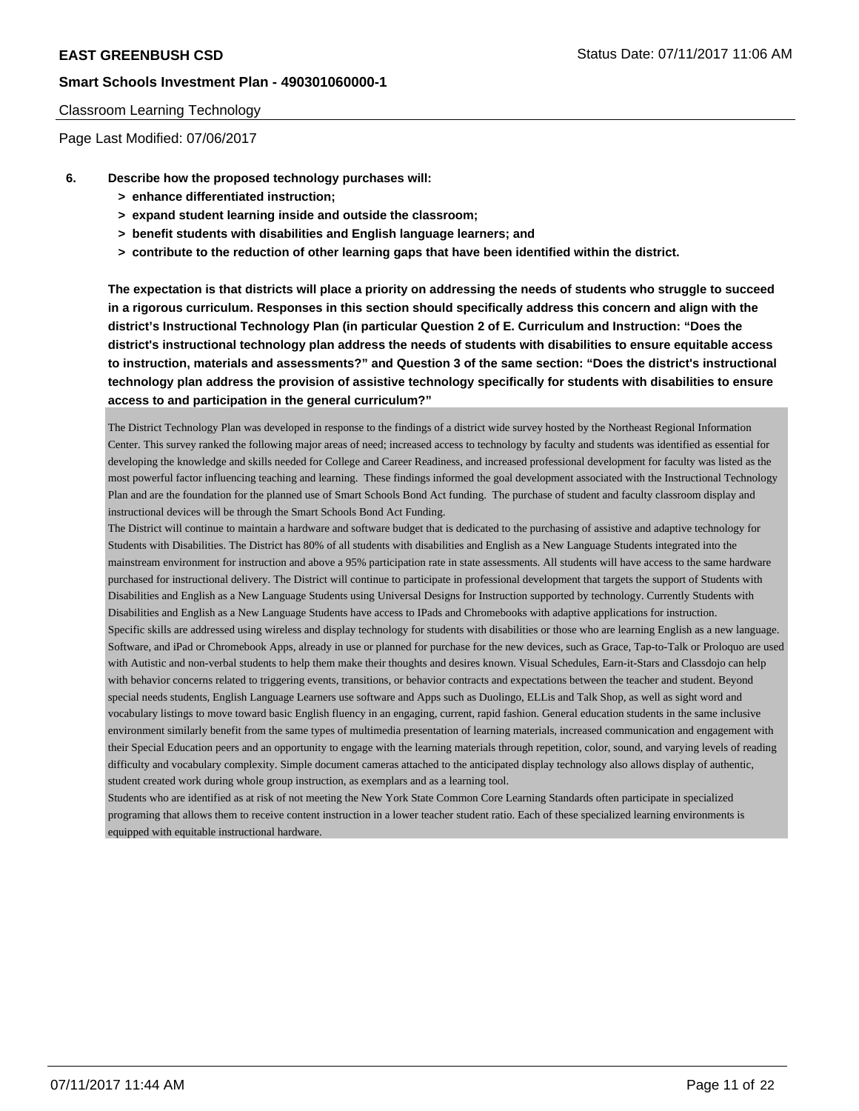#### Classroom Learning Technology

Page Last Modified: 07/06/2017

- **6. Describe how the proposed technology purchases will:**
	- **> enhance differentiated instruction;**
	- **> expand student learning inside and outside the classroom;**
	- **> benefit students with disabilities and English language learners; and**
	- **> contribute to the reduction of other learning gaps that have been identified within the district.**

**The expectation is that districts will place a priority on addressing the needs of students who struggle to succeed in a rigorous curriculum. Responses in this section should specifically address this concern and align with the district's Instructional Technology Plan (in particular Question 2 of E. Curriculum and Instruction: "Does the district's instructional technology plan address the needs of students with disabilities to ensure equitable access to instruction, materials and assessments?" and Question 3 of the same section: "Does the district's instructional technology plan address the provision of assistive technology specifically for students with disabilities to ensure access to and participation in the general curriculum?"**

The District Technology Plan was developed in response to the findings of a district wide survey hosted by the Northeast Regional Information Center. This survey ranked the following major areas of need; increased access to technology by faculty and students was identified as essential for developing the knowledge and skills needed for College and Career Readiness, and increased professional development for faculty was listed as the most powerful factor influencing teaching and learning. These findings informed the goal development associated with the Instructional Technology Plan and are the foundation for the planned use of Smart Schools Bond Act funding. The purchase of student and faculty classroom display and instructional devices will be through the Smart Schools Bond Act Funding.

The District will continue to maintain a hardware and software budget that is dedicated to the purchasing of assistive and adaptive technology for Students with Disabilities. The District has 80% of all students with disabilities and English as a New Language Students integrated into the mainstream environment for instruction and above a 95% participation rate in state assessments. All students will have access to the same hardware purchased for instructional delivery. The District will continue to participate in professional development that targets the support of Students with Disabilities and English as a New Language Students using Universal Designs for Instruction supported by technology. Currently Students with Disabilities and English as a New Language Students have access to IPads and Chromebooks with adaptive applications for instruction. Specific skills are addressed using wireless and display technology for students with disabilities or those who are learning English as a new language. Software, and iPad or Chromebook Apps, already in use or planned for purchase for the new devices, such as Grace, Tap-to-Talk or Proloquo are used with Autistic and non-verbal students to help them make their thoughts and desires known. Visual Schedules, Earn-it-Stars and Classdojo can help with behavior concerns related to triggering events, transitions, or behavior contracts and expectations between the teacher and student. Beyond special needs students, English Language Learners use software and Apps such as Duolingo, ELLis and Talk Shop, as well as sight word and vocabulary listings to move toward basic English fluency in an engaging, current, rapid fashion. General education students in the same inclusive environment similarly benefit from the same types of multimedia presentation of learning materials, increased communication and engagement with their Special Education peers and an opportunity to engage with the learning materials through repetition, color, sound, and varying levels of reading difficulty and vocabulary complexity. Simple document cameras attached to the anticipated display technology also allows display of authentic, student created work during whole group instruction, as exemplars and as a learning tool.

Students who are identified as at risk of not meeting the New York State Common Core Learning Standards often participate in specialized programing that allows them to receive content instruction in a lower teacher student ratio. Each of these specialized learning environments is equipped with equitable instructional hardware.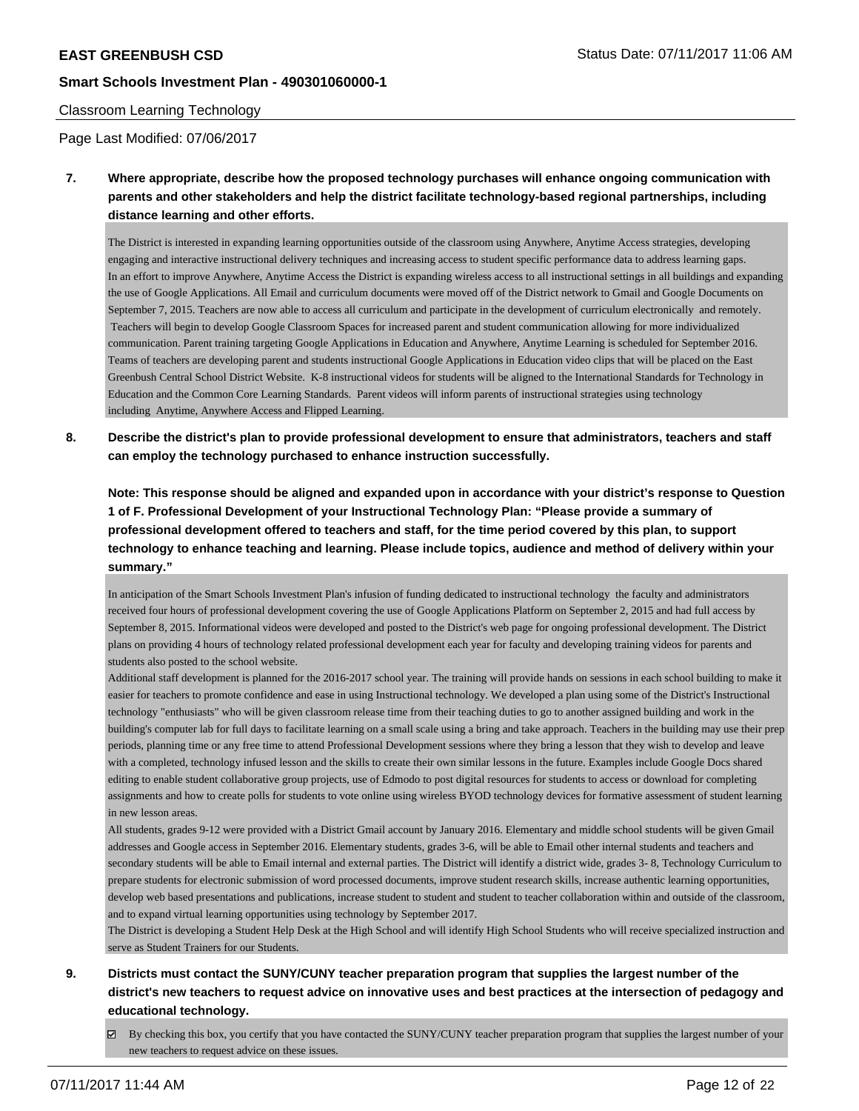#### Classroom Learning Technology

Page Last Modified: 07/06/2017

**7. Where appropriate, describe how the proposed technology purchases will enhance ongoing communication with parents and other stakeholders and help the district facilitate technology-based regional partnerships, including distance learning and other efforts.**

The District is interested in expanding learning opportunities outside of the classroom using Anywhere, Anytime Access strategies, developing engaging and interactive instructional delivery techniques and increasing access to student specific performance data to address learning gaps. In an effort to improve Anywhere, Anytime Access the District is expanding wireless access to all instructional settings in all buildings and expanding the use of Google Applications. All Email and curriculum documents were moved off of the District network to Gmail and Google Documents on September 7, 2015. Teachers are now able to access all curriculum and participate in the development of curriculum electronically and remotely. Teachers will begin to develop Google Classroom Spaces for increased parent and student communication allowing for more individualized communication. Parent training targeting Google Applications in Education and Anywhere, Anytime Learning is scheduled for September 2016. Teams of teachers are developing parent and students instructional Google Applications in Education video clips that will be placed on the East Greenbush Central School District Website. K-8 instructional videos for students will be aligned to the International Standards for Technology in Education and the Common Core Learning Standards. Parent videos will inform parents of instructional strategies using technology including Anytime, Anywhere Access and Flipped Learning.

**8. Describe the district's plan to provide professional development to ensure that administrators, teachers and staff can employ the technology purchased to enhance instruction successfully.**

**Note: This response should be aligned and expanded upon in accordance with your district's response to Question 1 of F. Professional Development of your Instructional Technology Plan: "Please provide a summary of professional development offered to teachers and staff, for the time period covered by this plan, to support technology to enhance teaching and learning. Please include topics, audience and method of delivery within your summary."**

In anticipation of the Smart Schools Investment Plan's infusion of funding dedicated to instructional technology the faculty and administrators received four hours of professional development covering the use of Google Applications Platform on September 2, 2015 and had full access by September 8, 2015. Informational videos were developed and posted to the District's web page for ongoing professional development. The District plans on providing 4 hours of technology related professional development each year for faculty and developing training videos for parents and students also posted to the school website.

Additional staff development is planned for the 2016-2017 school year. The training will provide hands on sessions in each school building to make it easier for teachers to promote confidence and ease in using Instructional technology. We developed a plan using some of the District's Instructional technology "enthusiasts" who will be given classroom release time from their teaching duties to go to another assigned building and work in the building's computer lab for full days to facilitate learning on a small scale using a bring and take approach. Teachers in the building may use their prep periods, planning time or any free time to attend Professional Development sessions where they bring a lesson that they wish to develop and leave with a completed, technology infused lesson and the skills to create their own similar lessons in the future. Examples include Google Docs shared editing to enable student collaborative group projects, use of Edmodo to post digital resources for students to access or download for completing assignments and how to create polls for students to vote online using wireless BYOD technology devices for formative assessment of student learning in new lesson areas.

All students, grades 9-12 were provided with a District Gmail account by January 2016. Elementary and middle school students will be given Gmail addresses and Google access in September 2016. Elementary students, grades 3-6, will be able to Email other internal students and teachers and secondary students will be able to Email internal and external parties. The District will identify a district wide, grades 3- 8, Technology Curriculum to prepare students for electronic submission of word processed documents, improve student research skills, increase authentic learning opportunities, develop web based presentations and publications, increase student to student and student to teacher collaboration within and outside of the classroom, and to expand virtual learning opportunities using technology by September 2017.

The District is developing a Student Help Desk at the High School and will identify High School Students who will receive specialized instruction and serve as Student Trainers for our Students.

- **9. Districts must contact the SUNY/CUNY teacher preparation program that supplies the largest number of the district's new teachers to request advice on innovative uses and best practices at the intersection of pedagogy and educational technology.**
	- $\boxtimes$  By checking this box, you certify that you have contacted the SUNY/CUNY teacher preparation program that supplies the largest number of your new teachers to request advice on these issues.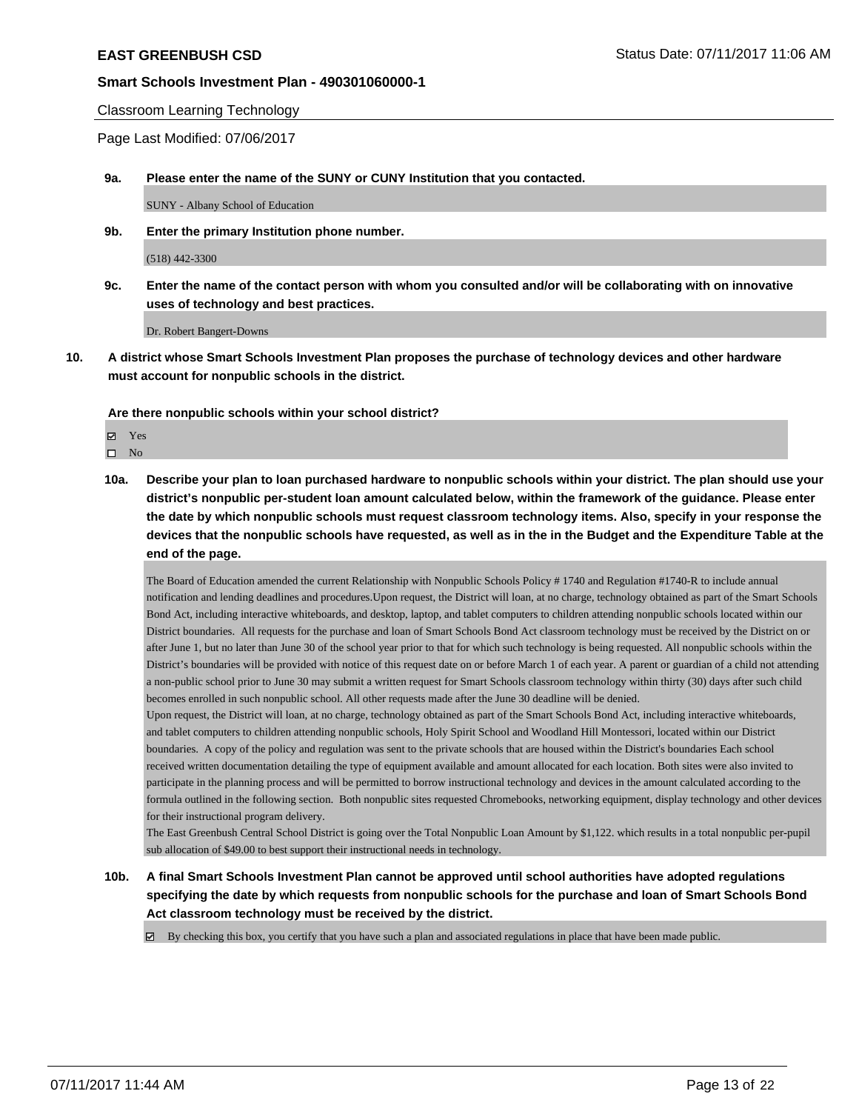Classroom Learning Technology

Page Last Modified: 07/06/2017

**9a. Please enter the name of the SUNY or CUNY Institution that you contacted.**

SUNY - Albany School of Education

**9b. Enter the primary Institution phone number.**

(518) 442-3300

**9c. Enter the name of the contact person with whom you consulted and/or will be collaborating with on innovative uses of technology and best practices.**

Dr. Robert Bangert-Downs

**10. A district whose Smart Schools Investment Plan proposes the purchase of technology devices and other hardware must account for nonpublic schools in the district.**

**Are there nonpublic schools within your school district?**

**Ø** Yes

- $\square$  No
- **10a. Describe your plan to loan purchased hardware to nonpublic schools within your district. The plan should use your district's nonpublic per-student loan amount calculated below, within the framework of the guidance. Please enter the date by which nonpublic schools must request classroom technology items. Also, specify in your response the devices that the nonpublic schools have requested, as well as in the in the Budget and the Expenditure Table at the end of the page.**

The Board of Education amended the current Relationship with Nonpublic Schools Policy # 1740 and Regulation #1740-R to include annual notification and lending deadlines and procedures.Upon request, the District will loan, at no charge, technology obtained as part of the Smart Schools Bond Act, including interactive whiteboards, and desktop, laptop, and tablet computers to children attending nonpublic schools located within our District boundaries. All requests for the purchase and loan of Smart Schools Bond Act classroom technology must be received by the District on or after June 1, but no later than June 30 of the school year prior to that for which such technology is being requested. All nonpublic schools within the District's boundaries will be provided with notice of this request date on or before March 1 of each year. A parent or guardian of a child not attending a non-public school prior to June 30 may submit a written request for Smart Schools classroom technology within thirty (30) days after such child becomes enrolled in such nonpublic school. All other requests made after the June 30 deadline will be denied.

Upon request, the District will loan, at no charge, technology obtained as part of the Smart Schools Bond Act, including interactive whiteboards, and tablet computers to children attending nonpublic schools, Holy Spirit School and Woodland Hill Montessori, located within our District boundaries. A copy of the policy and regulation was sent to the private schools that are housed within the District's boundaries Each school received written documentation detailing the type of equipment available and amount allocated for each location. Both sites were also invited to participate in the planning process and will be permitted to borrow instructional technology and devices in the amount calculated according to the formula outlined in the following section. Both nonpublic sites requested Chromebooks, networking equipment, display technology and other devices for their instructional program delivery.

The East Greenbush Central School District is going over the Total Nonpublic Loan Amount by \$1,122. which results in a total nonpublic per-pupil sub allocation of \$49.00 to best support their instructional needs in technology.

**10b. A final Smart Schools Investment Plan cannot be approved until school authorities have adopted regulations specifying the date by which requests from nonpublic schools for the purchase and loan of Smart Schools Bond Act classroom technology must be received by the district.**

 $\boxtimes$  By checking this box, you certify that you have such a plan and associated regulations in place that have been made public.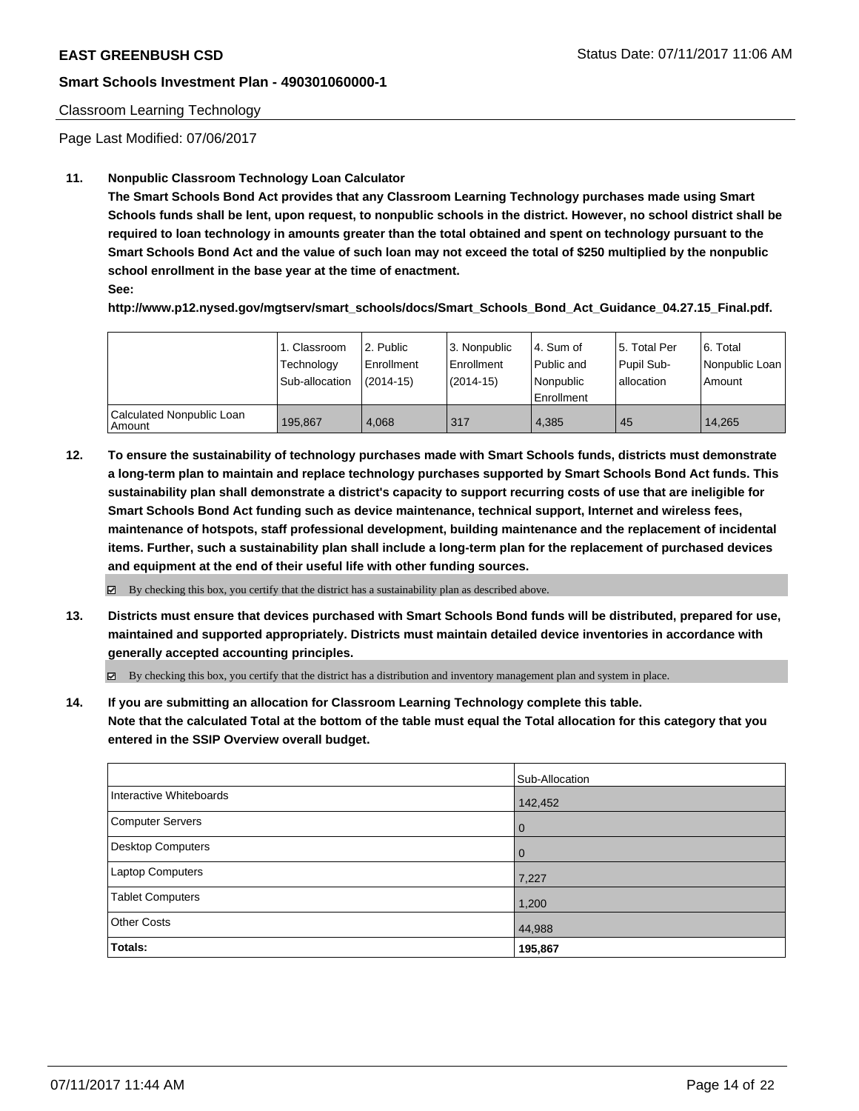### Classroom Learning Technology

Page Last Modified: 07/06/2017

### **11. Nonpublic Classroom Technology Loan Calculator**

**The Smart Schools Bond Act provides that any Classroom Learning Technology purchases made using Smart Schools funds shall be lent, upon request, to nonpublic schools in the district. However, no school district shall be required to loan technology in amounts greater than the total obtained and spent on technology pursuant to the Smart Schools Bond Act and the value of such loan may not exceed the total of \$250 multiplied by the nonpublic school enrollment in the base year at the time of enactment.**

**See:**

**http://www.p12.nysed.gov/mgtserv/smart\_schools/docs/Smart\_Schools\_Bond\_Act\_Guidance\_04.27.15\_Final.pdf.**

|                                       | 1. Classroom<br>Technology<br>Sub-allocation | l 2. Public<br>l Enrollment<br>$(2014-15)$ | l 3. Nonpublic<br>Enrollment<br>(2014-15) | 4. Sum of<br>Public and<br>l Nonpublic<br>Enrollment | 15. Total Per<br>Pupil Sub-<br>l allocation | 6. Total<br>  Nonpublic Loan  <br>Amount |
|---------------------------------------|----------------------------------------------|--------------------------------------------|-------------------------------------------|------------------------------------------------------|---------------------------------------------|------------------------------------------|
| Calculated Nonpublic Loan<br>l Amount | 195.867                                      | 4.068                                      | 317                                       | 4.385                                                | 45                                          | 14.265                                   |

**12. To ensure the sustainability of technology purchases made with Smart Schools funds, districts must demonstrate a long-term plan to maintain and replace technology purchases supported by Smart Schools Bond Act funds. This sustainability plan shall demonstrate a district's capacity to support recurring costs of use that are ineligible for Smart Schools Bond Act funding such as device maintenance, technical support, Internet and wireless fees, maintenance of hotspots, staff professional development, building maintenance and the replacement of incidental items. Further, such a sustainability plan shall include a long-term plan for the replacement of purchased devices and equipment at the end of their useful life with other funding sources.**

 $\boxtimes$  By checking this box, you certify that the district has a sustainability plan as described above.

**13. Districts must ensure that devices purchased with Smart Schools Bond funds will be distributed, prepared for use, maintained and supported appropriately. Districts must maintain detailed device inventories in accordance with generally accepted accounting principles.**

By checking this box, you certify that the district has a distribution and inventory management plan and system in place.

**14. If you are submitting an allocation for Classroom Learning Technology complete this table. Note that the calculated Total at the bottom of the table must equal the Total allocation for this category that you entered in the SSIP Overview overall budget.**

|                          | Sub-Allocation |
|--------------------------|----------------|
| Interactive Whiteboards  | 142,452        |
| Computer Servers         | $\overline{0}$ |
| <b>Desktop Computers</b> | $\overline{0}$ |
| Laptop Computers         | 7,227          |
| <b>Tablet Computers</b>  | 1,200          |
| <b>Other Costs</b>       | 44,988         |
| Totals:                  | 195,867        |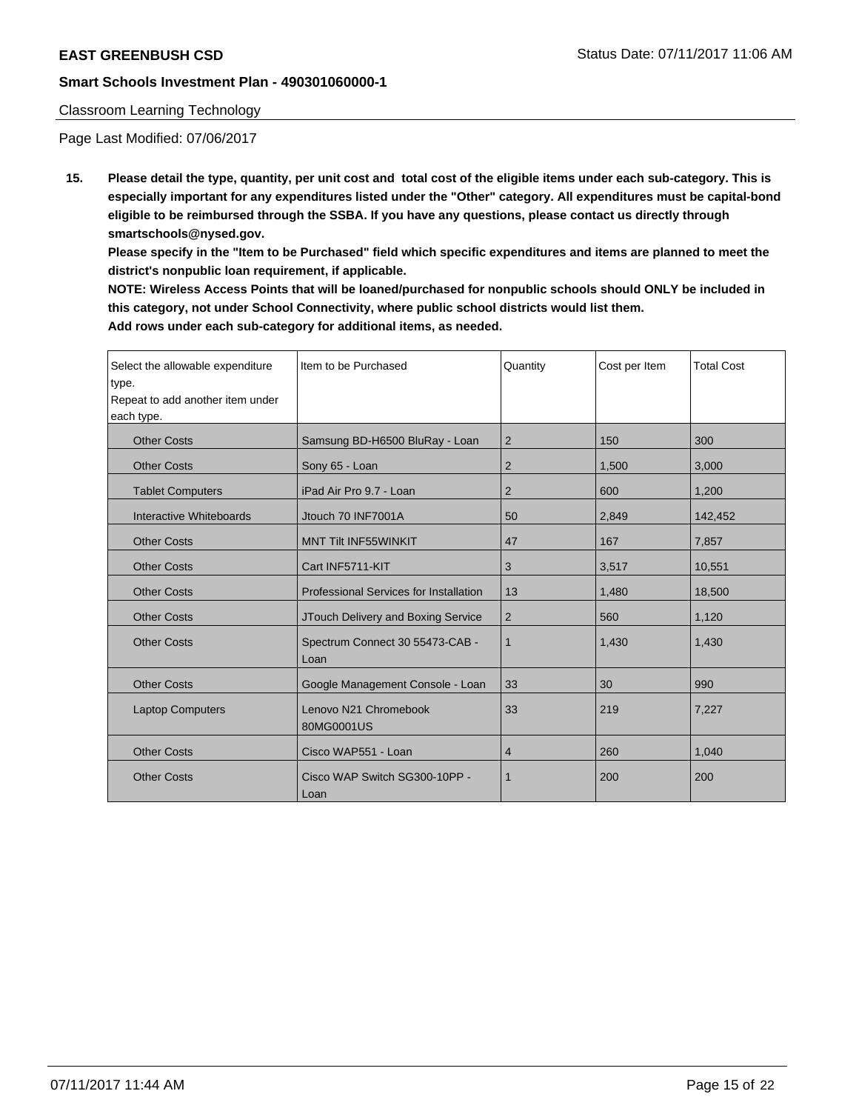#### Classroom Learning Technology

Page Last Modified: 07/06/2017

**15. Please detail the type, quantity, per unit cost and total cost of the eligible items under each sub-category. This is especially important for any expenditures listed under the "Other" category. All expenditures must be capital-bond eligible to be reimbursed through the SSBA. If you have any questions, please contact us directly through smartschools@nysed.gov.**

**Please specify in the "Item to be Purchased" field which specific expenditures and items are planned to meet the district's nonpublic loan requirement, if applicable.**

**NOTE: Wireless Access Points that will be loaned/purchased for nonpublic schools should ONLY be included in this category, not under School Connectivity, where public school districts would list them. Add rows under each sub-category for additional items, as needed.**

| Select the allowable expenditure | Item to be Purchased                    | Quantity       | Cost per Item | <b>Total Cost</b> |
|----------------------------------|-----------------------------------------|----------------|---------------|-------------------|
| type.                            |                                         |                |               |                   |
| Repeat to add another item under |                                         |                |               |                   |
| each type.                       |                                         |                |               |                   |
| <b>Other Costs</b>               | Samsung BD-H6500 BluRay - Loan          | $\overline{2}$ | 150           | 300               |
| <b>Other Costs</b>               | Sony 65 - Loan                          | $\overline{2}$ | 1,500         | 3,000             |
| <b>Tablet Computers</b>          | iPad Air Pro 9.7 - Loan                 | $\overline{2}$ | 600           | 1,200             |
| Interactive Whiteboards          | Jtouch 70 INF7001A                      | 50             | 2,849         | 142,452           |
| <b>Other Costs</b>               | <b>MNT Tilt INF55WINKIT</b>             | 47             | 167           | 7,857             |
| <b>Other Costs</b>               | Cart INF5711-KIT                        | 3              | 3,517         | 10,551            |
| <b>Other Costs</b>               | Professional Services for Installation  | 13             | 1,480         | 18,500            |
| <b>Other Costs</b>               | JTouch Delivery and Boxing Service      | 2              | 560           | 1,120             |
| <b>Other Costs</b>               | Spectrum Connect 30 55473-CAB -<br>Loan | $\mathbf 1$    | 1,430         | 1,430             |
| <b>Other Costs</b>               | Google Management Console - Loan        | 33             | 30            | 990               |
| <b>Laptop Computers</b>          | Lenovo N21 Chromebook<br>80MG0001US     | 33             | 219           | 7,227             |
| <b>Other Costs</b>               | Cisco WAP551 - Loan                     | 4              | 260           | 1,040             |
| <b>Other Costs</b>               | Cisco WAP Switch SG300-10PP -<br>Loan   | 1              | 200           | 200               |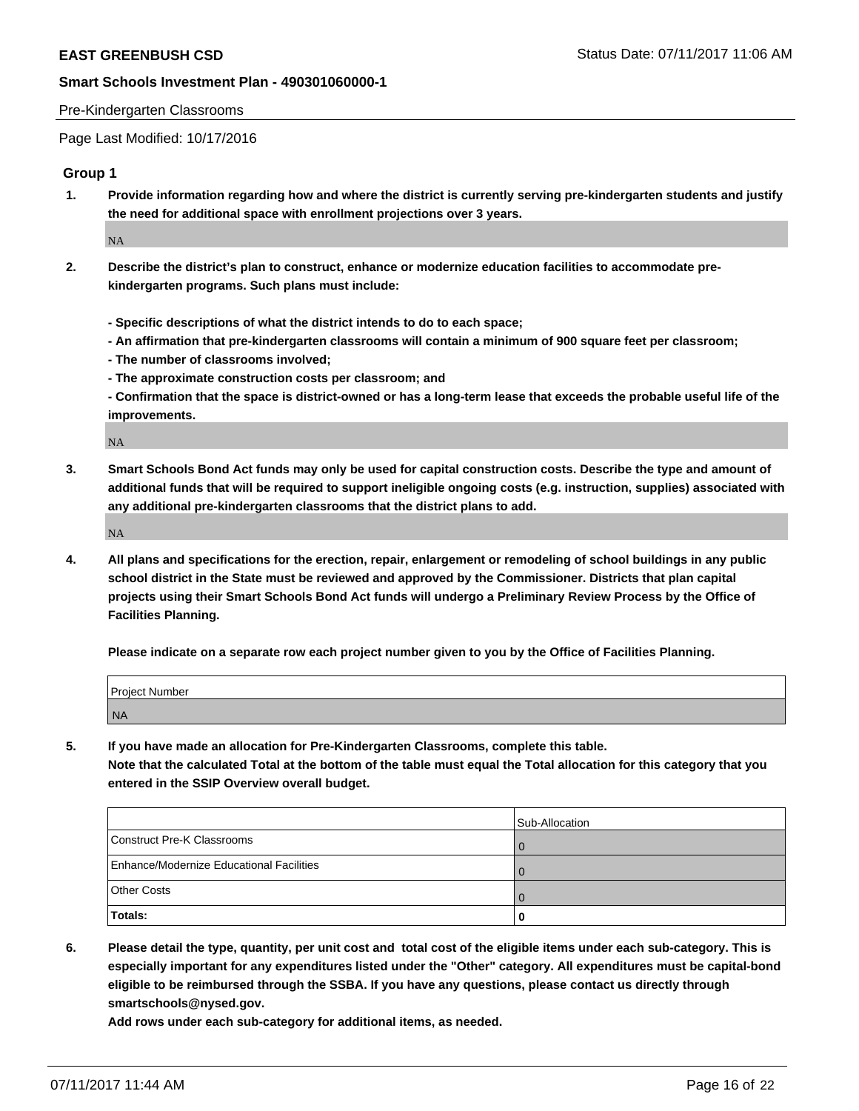#### Pre-Kindergarten Classrooms

Page Last Modified: 10/17/2016

#### **Group 1**

**1. Provide information regarding how and where the district is currently serving pre-kindergarten students and justify the need for additional space with enrollment projections over 3 years.**

NA

- **2. Describe the district's plan to construct, enhance or modernize education facilities to accommodate prekindergarten programs. Such plans must include:**
	- **Specific descriptions of what the district intends to do to each space;**
	- **An affirmation that pre-kindergarten classrooms will contain a minimum of 900 square feet per classroom;**
	- **The number of classrooms involved;**
	- **The approximate construction costs per classroom; and**
	- **Confirmation that the space is district-owned or has a long-term lease that exceeds the probable useful life of the improvements.**

NA

**3. Smart Schools Bond Act funds may only be used for capital construction costs. Describe the type and amount of additional funds that will be required to support ineligible ongoing costs (e.g. instruction, supplies) associated with any additional pre-kindergarten classrooms that the district plans to add.**

NA

**4. All plans and specifications for the erection, repair, enlargement or remodeling of school buildings in any public school district in the State must be reviewed and approved by the Commissioner. Districts that plan capital projects using their Smart Schools Bond Act funds will undergo a Preliminary Review Process by the Office of Facilities Planning.**

**Please indicate on a separate row each project number given to you by the Office of Facilities Planning.**

| Project Number |
|----------------|
| <b>NA</b>      |

**5. If you have made an allocation for Pre-Kindergarten Classrooms, complete this table. Note that the calculated Total at the bottom of the table must equal the Total allocation for this category that you entered in the SSIP Overview overall budget.**

|                                          | Sub-Allocation |
|------------------------------------------|----------------|
| Construct Pre-K Classrooms               |                |
| Enhance/Modernize Educational Facilities |                |
| <b>Other Costs</b>                       |                |
| Totals:                                  | u              |

**6. Please detail the type, quantity, per unit cost and total cost of the eligible items under each sub-category. This is especially important for any expenditures listed under the "Other" category. All expenditures must be capital-bond eligible to be reimbursed through the SSBA. If you have any questions, please contact us directly through smartschools@nysed.gov.**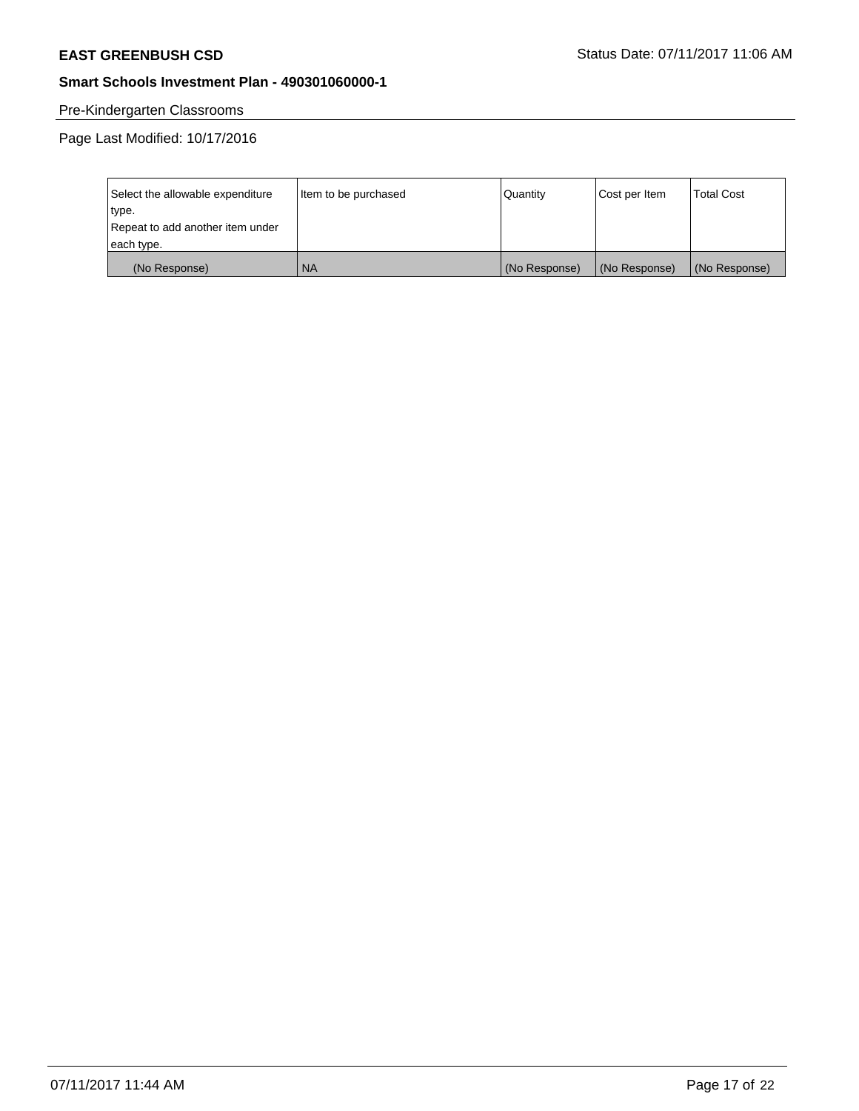# Pre-Kindergarten Classrooms

Page Last Modified: 10/17/2016

| Select the allowable expenditure | Item to be purchased | Quantity      | Cost per Item | <b>Total Cost</b> |
|----------------------------------|----------------------|---------------|---------------|-------------------|
| type.                            |                      |               |               |                   |
| Repeat to add another item under |                      |               |               |                   |
| each type.                       |                      |               |               |                   |
| (No Response)                    | <b>NA</b>            | (No Response) | (No Response) | (No Response)     |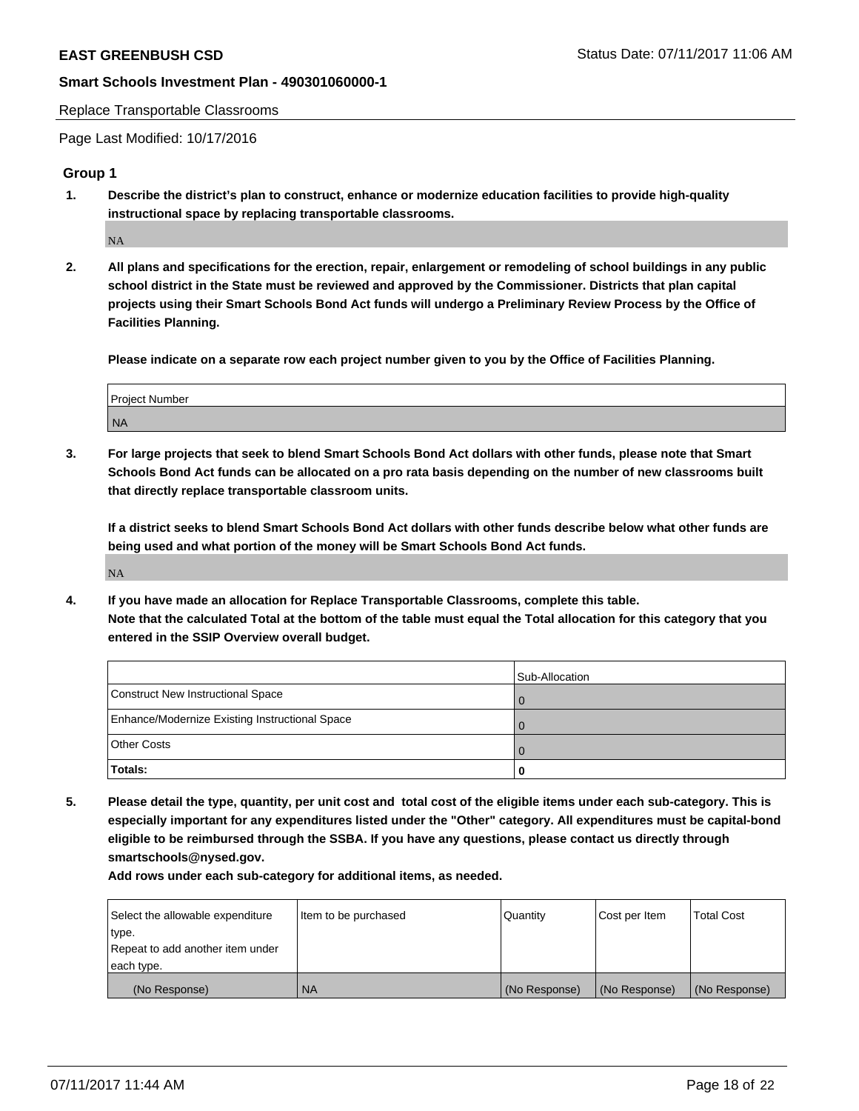#### Replace Transportable Classrooms

Page Last Modified: 10/17/2016

#### **Group 1**

**1. Describe the district's plan to construct, enhance or modernize education facilities to provide high-quality instructional space by replacing transportable classrooms.**

NA

**2. All plans and specifications for the erection, repair, enlargement or remodeling of school buildings in any public school district in the State must be reviewed and approved by the Commissioner. Districts that plan capital projects using their Smart Schools Bond Act funds will undergo a Preliminary Review Process by the Office of Facilities Planning.**

**Please indicate on a separate row each project number given to you by the Office of Facilities Planning.**

| Project Number |  |  |
|----------------|--|--|
|                |  |  |
| <b>NA</b>      |  |  |

**3. For large projects that seek to blend Smart Schools Bond Act dollars with other funds, please note that Smart Schools Bond Act funds can be allocated on a pro rata basis depending on the number of new classrooms built that directly replace transportable classroom units.**

**If a district seeks to blend Smart Schools Bond Act dollars with other funds describe below what other funds are being used and what portion of the money will be Smart Schools Bond Act funds.**

NA

**4. If you have made an allocation for Replace Transportable Classrooms, complete this table. Note that the calculated Total at the bottom of the table must equal the Total allocation for this category that you entered in the SSIP Overview overall budget.**

|                                                | Sub-Allocation |
|------------------------------------------------|----------------|
| Construct New Instructional Space              |                |
| Enhance/Modernize Existing Instructional Space |                |
| <b>Other Costs</b>                             |                |
| Totals:                                        | -0             |

**5. Please detail the type, quantity, per unit cost and total cost of the eligible items under each sub-category. This is especially important for any expenditures listed under the "Other" category. All expenditures must be capital-bond eligible to be reimbursed through the SSBA. If you have any questions, please contact us directly through smartschools@nysed.gov.**

| Select the allowable expenditure | Item to be purchased | Quantity      | Cost per Item | <b>Total Cost</b> |
|----------------------------------|----------------------|---------------|---------------|-------------------|
| 'type.                           |                      |               |               |                   |
| Repeat to add another item under |                      |               |               |                   |
| each type.                       |                      |               |               |                   |
| (No Response)                    | <b>NA</b>            | (No Response) | (No Response) | (No Response)     |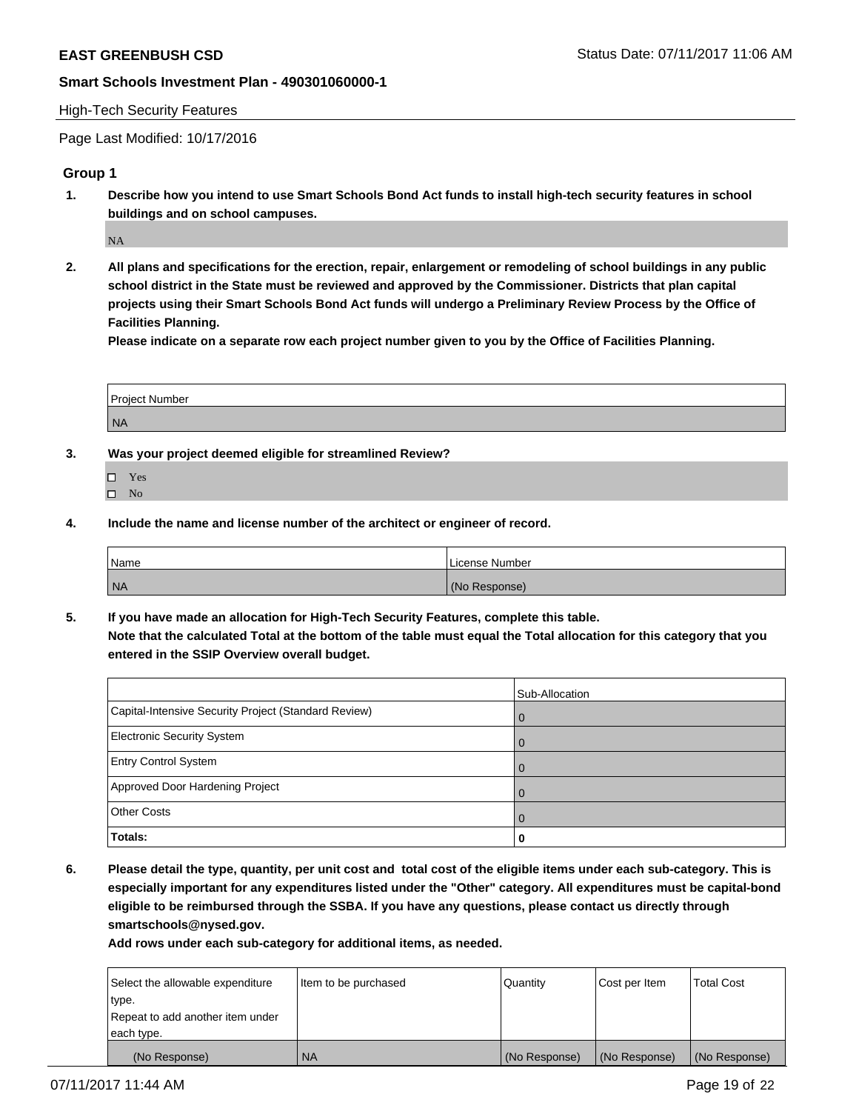#### High-Tech Security Features

Page Last Modified: 10/17/2016

### **Group 1**

**1. Describe how you intend to use Smart Schools Bond Act funds to install high-tech security features in school buildings and on school campuses.**

NA

**2. All plans and specifications for the erection, repair, enlargement or remodeling of school buildings in any public school district in the State must be reviewed and approved by the Commissioner. Districts that plan capital projects using their Smart Schools Bond Act funds will undergo a Preliminary Review Process by the Office of Facilities Planning.** 

**Please indicate on a separate row each project number given to you by the Office of Facilities Planning.**

| <b>Project Number</b> |  |
|-----------------------|--|
| <b>NA</b>             |  |

**3. Was your project deemed eligible for streamlined Review?**

Yes  $\hfill \square$  No

**4. Include the name and license number of the architect or engineer of record.**

| Name      | l License Number |
|-----------|------------------|
| <b>NA</b> | (No Response)    |

**5. If you have made an allocation for High-Tech Security Features, complete this table. Note that the calculated Total at the bottom of the table must equal the Total allocation for this category that you entered in the SSIP Overview overall budget.**

|                                                      | Sub-Allocation |
|------------------------------------------------------|----------------|
| Capital-Intensive Security Project (Standard Review) | l 0            |
| <b>Electronic Security System</b>                    | $\Omega$       |
| <b>Entry Control System</b>                          | $\Omega$       |
| Approved Door Hardening Project                      | $\Omega$       |
| <b>Other Costs</b>                                   | $\Omega$       |
| Totals:                                              | 0              |

**6. Please detail the type, quantity, per unit cost and total cost of the eligible items under each sub-category. This is especially important for any expenditures listed under the "Other" category. All expenditures must be capital-bond eligible to be reimbursed through the SSBA. If you have any questions, please contact us directly through smartschools@nysed.gov.**

| (No Response)                    | <b>NA</b>            | (No Response) | (No Response) | (No Response)     |
|----------------------------------|----------------------|---------------|---------------|-------------------|
| each type.                       |                      |               |               |                   |
| Repeat to add another item under |                      |               |               |                   |
| type.                            |                      |               |               |                   |
| Select the allowable expenditure | Item to be purchased | Quantity      | Cost per Item | <b>Total Cost</b> |
|                                  |                      |               |               |                   |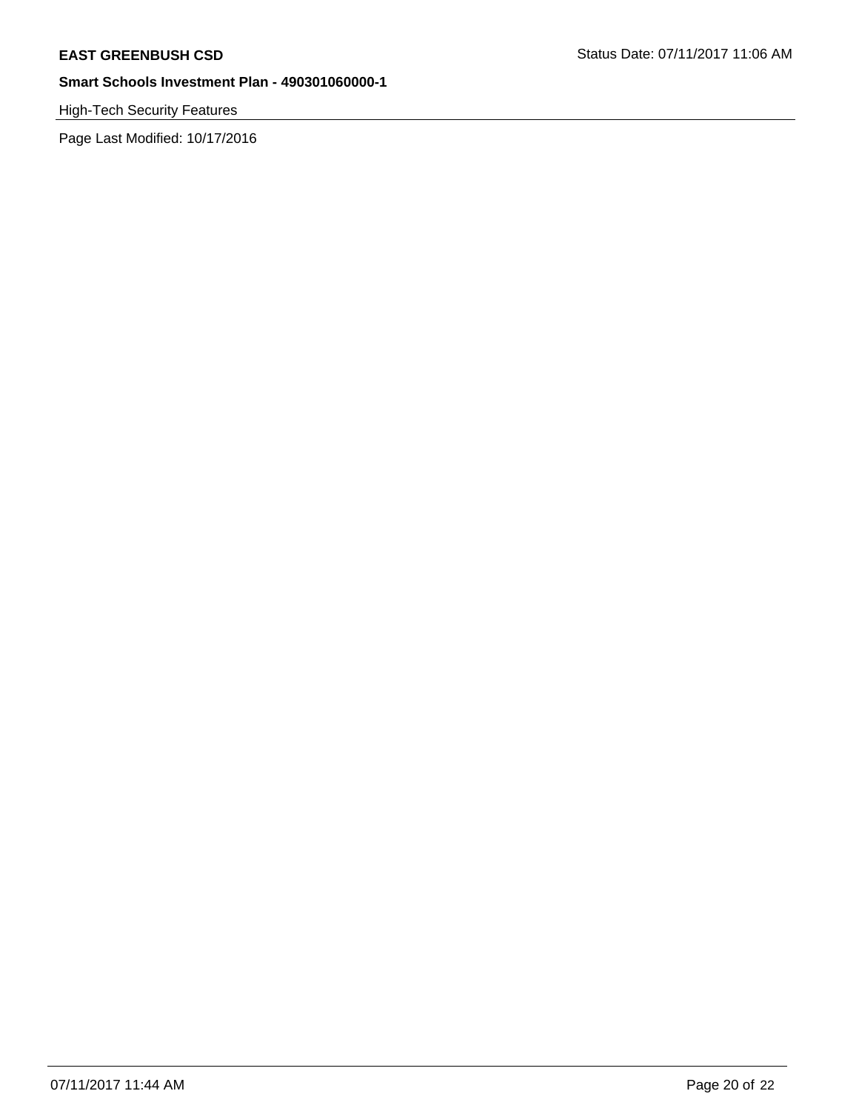# High-Tech Security Features

Page Last Modified: 10/17/2016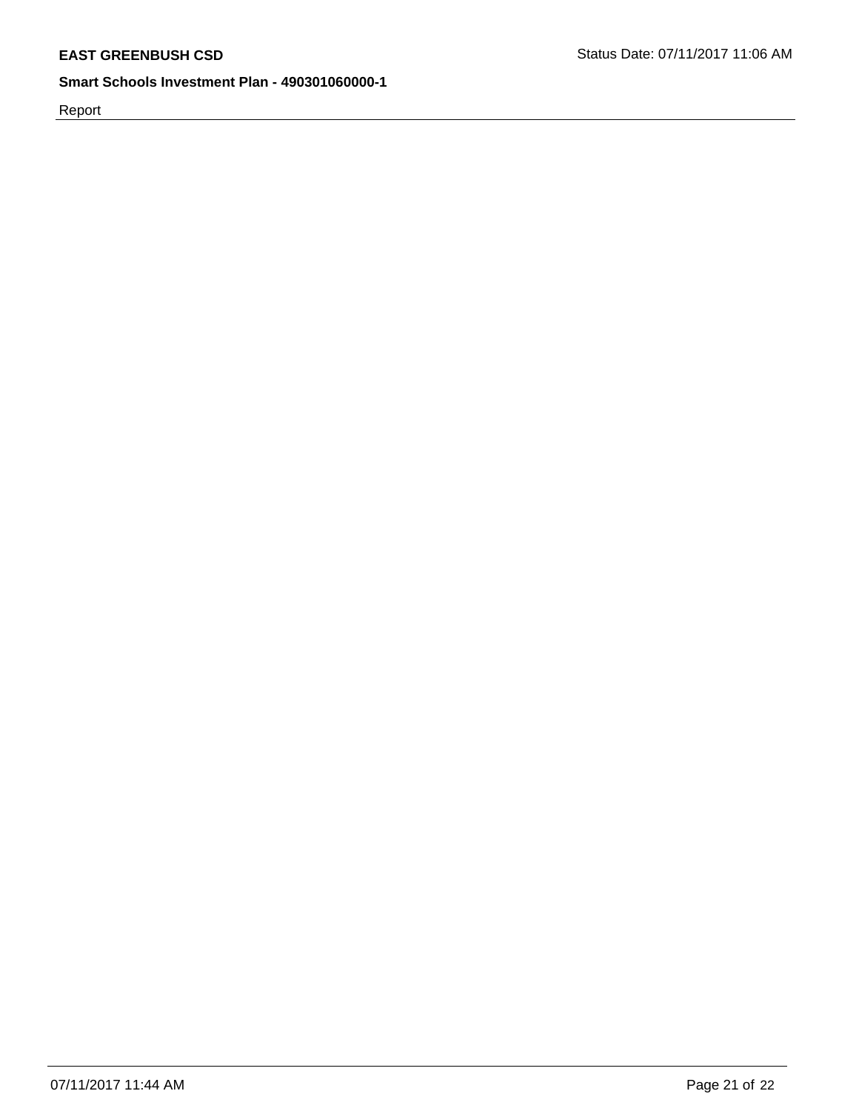Report